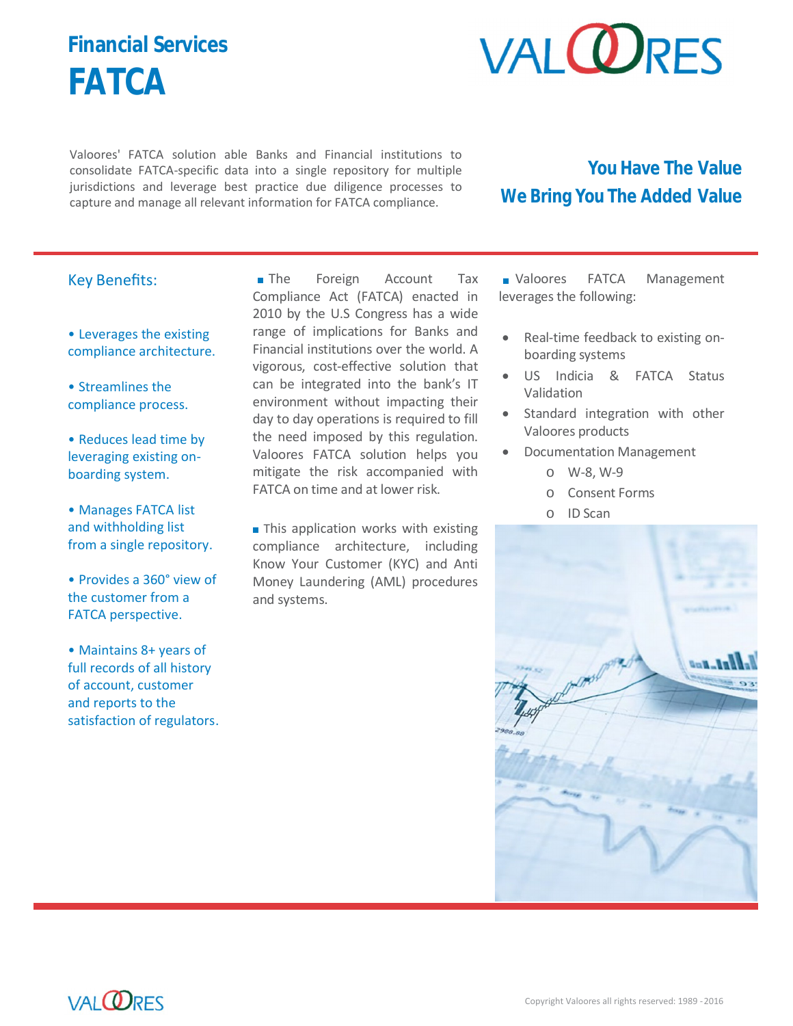## **Financial Services FATCA**



Valoores' FATCA solution able Banks and Financial institutions to consolidate FATCA-specific data into a single repository for multiple jurisdictions and leverage best practice due diligence processes to capture and manage all relevant information for FATCA compliance.

### **You Have The Value We Bring You The Added Value**

#### Key Benefits:

• Leverages the existing compliance architecture.

• Streamlines the compliance process.

• Reduces lead time by leveraging existing onboarding system.

• Manages FATCA list and withholding list from a single repository.

• Provides a 360° view of the customer from a FATCA perspective.

• Maintains 8+ years of full records of all history of account, customer and reports to the satisfaction of regulators.

**The** Foreign Account Tax Compliance Act (FATCA) enacted in 2010 by the U.S Congress has a wide range of implications for Banks and Financial institutions over the world. A vigorous, cost-effective solution that can be integrated into the bank's IT environment without impacting their day to day operations is required to fill the need imposed by this regulation. Valoores FATCA solution helps you mitigate the risk accompanied with FATCA on time and at lower risk.

This application works with existing compliance architecture, including Know Your Customer (KYC) and Anti Money Laundering (AML) procedures and systems.

Valoores FATCA Management leverages the following:

- Real-time feedback to existing onboarding systems
- US Indicia & FATCA Status Validation
- Standard integration with other Valoores products
- Documentation Management
	- o W-8, W-9
	- o Consent Forms
	- o ID Scan